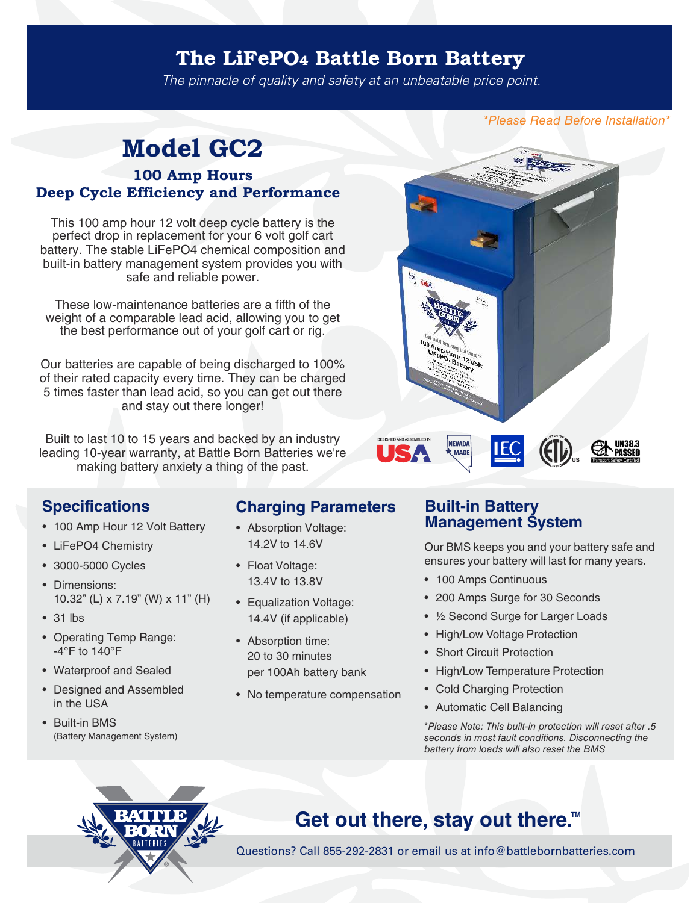### The LiFePO4 Battle Born Battery

The pinnacle of quality and safety at an unbeatable price point.

\*Please Read Before Installation\*

## **Model GC2**

#### **100 Amp Hours Deep Cycle Efficiency and Performance**

This 100 amp hour 12 volt deep cycle battery is the perfect drop in replacement for your 6 volt golf cart battery. The stable LiFePO4 chemical composition and built-in battery management system provides you with safe and reliable power.

These low-maintenance batteries are a fifth of the weight of a comparable lead acid, allowing you to get the best performance out of your golf cart or rig.

Our batteries are capable of being discharged to 100% of their rated capacity every time. They can be charged 5 times faster than lead acid, so you can get out there and stay out there longer!

Built to last 10 to 15 years and backed by an industry leading 10-year warranty, at Battle Born Batteries we're making battery anxiety a thing of the past.



### **Specifications**

- 100 Amp Hour 12 Volt Battery
- LiFePO4 Chemistry
- 3000-5000 Cycles
- Dimensions: 10.32" (L) x 7.19" (W) x 11" (H)
- 31 lbs
- Operating Temp Range: -4°F to 140°F
- Waterproof and Sealed
- Designed and Assembled in the USA
- Built-in BMS (Battery Management System)

### **Charging Parameters Built-in Battery**

- Absorption Voltage: 14.2V to 14.6V
- Float Voltage: 13.4V to 13.8V
- Equalization Voltage: 14.4V (if applicable)
- Absorption time: 20 to 30 minutes per 100Ah battery bank
- No temperature compensation

# **Management System**

Our BMS keeps you and your battery safe and ensures your battery will last for many years.

- 100 Amps Continuous
- 200 Amps Surge for 30 Seconds
- ½ Second Surge for Larger Loads
- High/Low Voltage Protection
- Short Circuit Protection
- High/Low Temperature Protection
- Cold Charging Protection
- Automatic Cell Balancing

\*Please Note: This built-in protection will reset after .5 seconds in most fault conditions. Disconnecting the battery from loads will also reset the BMS



## **Get out there, stay out there.**<sup>™</sup>

Questions? Call 855-292-2831 or email us at info@battlebornbatteries.com